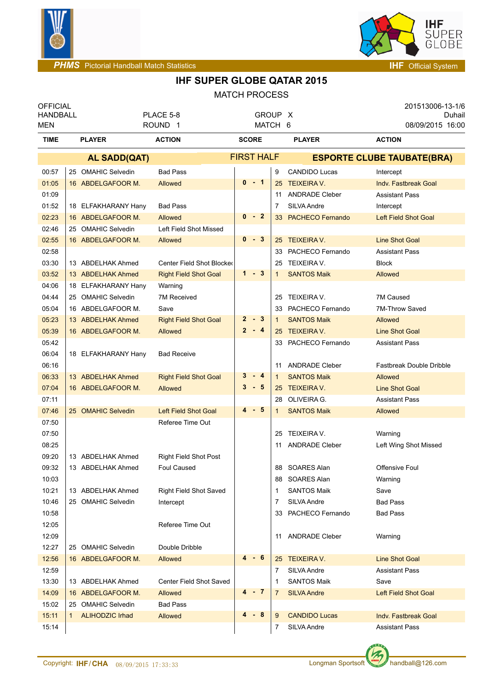



| <b>OFFICIAL</b><br><b>HANDBALL</b> |                              | PLACE 5-8                     | GROUP X      |                   |                                   | 201513006-13-1/6<br>Duhail      |  |
|------------------------------------|------------------------------|-------------------------------|--------------|-------------------|-----------------------------------|---------------------------------|--|
| <b>MEN</b>                         |                              | ROUND <sub>1</sub>            | MATCH 6      |                   |                                   | 08/09/2015 16:00                |  |
| <b>TIME</b>                        | <b>PLAYER</b>                | <b>ACTION</b>                 | <b>SCORE</b> |                   | <b>PLAYER</b>                     | <b>ACTION</b>                   |  |
|                                    | AL SADD(QAT)                 |                               |              | <b>FIRST HALF</b> | <b>ESPORTE CLUBE TAUBATE(BRA)</b> |                                 |  |
| 00:57                              | 25 OMAHIC Selvedin           | <b>Bad Pass</b>               |              | 9                 | <b>CANDIDO Lucas</b>              | Intercept                       |  |
| 01:05                              | 16 ABDELGAFOOR M.            | Allowed                       | $0 - 1$      |                   | 25 TEIXEIRA V.                    | <b>Indv. Fastbreak Goal</b>     |  |
| 01:09                              |                              |                               |              | 11                | <b>ANDRADE Cleber</b>             | <b>Assistant Pass</b>           |  |
| 01:52                              | 18 ELFAKHARANY Hany          | <b>Bad Pass</b>               |              | 7                 | SILVA Andre                       | Intercept                       |  |
| 02:23                              | 16 ABDELGAFOOR M.            | Allowed                       | $0 - 2$      |                   | 33 PACHECO Fernando               | <b>Left Field Shot Goal</b>     |  |
| 02:46                              | 25 OMAHIC Selvedin           | Left Field Shot Missed        |              |                   |                                   |                                 |  |
| 02:55                              | 16 ABDELGAFOOR M.            | Allowed                       | $0 - 3$      |                   | 25 TEIXEIRA V.                    | <b>Line Shot Goal</b>           |  |
| 02:58                              |                              |                               |              | 33                | PACHECO Fernando                  | <b>Assistant Pass</b>           |  |
| 03:30                              | 13 ABDELHAK Ahmed            | Center Field Shot Blocked     |              | 25                | TEIXEIRA V.                       | Block                           |  |
| 03:52                              | 13 ABDELHAK Ahmed            | <b>Right Field Shot Goal</b>  | $1 - 3$      | $\mathbf{1}$      | <b>SANTOS Maik</b>                | Allowed                         |  |
| 04:06                              | 18 ELFAKHARANY Hany          | Warning                       |              |                   |                                   |                                 |  |
| 04:44                              | 25 OMAHIC Selvedin           | 7M Received                   |              |                   | 25 TEIXEIRA V.                    | 7M Caused                       |  |
| 05:04                              | 16 ABDELGAFOOR M.            | Save                          |              | 33                | PACHECO Fernando                  | 7M-Throw Saved                  |  |
| 05:23                              | 13 ABDELHAK Ahmed            | <b>Right Field Shot Goal</b>  | $2 - 3$      | $\mathbf{1}$      | <b>SANTOS Maik</b>                | Allowed                         |  |
| 05:39                              | 16 ABDELGAFOOR M.            | Allowed                       | $2 - 4$      |                   | 25 TEIXEIRA V.                    | <b>Line Shot Goal</b>           |  |
| 05:42                              |                              |                               |              |                   | 33 PACHECO Fernando               | <b>Assistant Pass</b>           |  |
| 06:04                              | 18 ELFAKHARANY Hany          | <b>Bad Receive</b>            |              |                   |                                   |                                 |  |
| 06:16                              |                              |                               |              | 11                | <b>ANDRADE Cleber</b>             | <b>Fastbreak Double Dribble</b> |  |
| 06:33                              | 13 ABDELHAK Ahmed            | <b>Right Field Shot Goal</b>  | 3<br>$-4$    | $\mathbf{1}$      | <b>SANTOS Maik</b>                | Allowed                         |  |
| 07:04                              | 16 ABDELGAFOOR M.            | Allowed                       | $3 - 5$      |                   | 25 TEIXEIRA V.                    | <b>Line Shot Goal</b>           |  |
| 07:11                              |                              |                               |              | 28                | OLIVEIRA G.                       | <b>Assistant Pass</b>           |  |
| 07:46                              | 25 OMAHIC Selvedin           | <b>Left Field Shot Goal</b>   | $4 - 5$      | 1                 | <b>SANTOS Maik</b>                | Allowed                         |  |
| 07:50                              |                              | Referee Time Out              |              |                   |                                   |                                 |  |
| 07:50                              |                              |                               |              | 25                | TEIXEIRA V.                       | Warning                         |  |
| 08:25                              |                              |                               |              | 11                | <b>ANDRADE Cleber</b>             | Left Wing Shot Missed           |  |
| 09:20                              | 13 ABDELHAK Ahmed            | Right Field Shot Post         |              |                   |                                   |                                 |  |
| 09:32                              | 13 ABDELHAK Ahmed            | <b>Foul Caused</b>            |              |                   | 88 SOARES Alan                    | Offensive Foul                  |  |
| 10:03                              |                              |                               |              | 88                | SOARES Alan                       | Warning                         |  |
| 10:21                              | 13 ABDELHAK Ahmed            | <b>Right Field Shot Saved</b> |              | 1                 | <b>SANTOS Maik</b>                | Save                            |  |
| 10:46                              | 25 OMAHIC Selvedin           | Intercept                     |              | 7                 | SILVA Andre                       | <b>Bad Pass</b>                 |  |
| 10:58                              |                              |                               |              | 33                | PACHECO Fernando                  | <b>Bad Pass</b>                 |  |
| 12:05                              |                              | Referee Time Out              |              |                   |                                   |                                 |  |
| 12:09                              |                              |                               |              |                   | 11 ANDRADE Cleber                 | Warning                         |  |
| 12:27                              | 25 OMAHIC Selvedin           | Double Dribble                |              |                   |                                   |                                 |  |
| 12:56                              | 16 ABDELGAFOOR M.            | Allowed                       | 4 - 6        | 25                | <b>TEIXEIRA V.</b>                | <b>Line Shot Goal</b>           |  |
| 12:59                              |                              |                               |              | 7                 | SILVA Andre                       | <b>Assistant Pass</b>           |  |
| 13:30                              | 13 ABDELHAK Ahmed            | Center Field Shot Saved       |              | 1                 | <b>SANTOS Maik</b>                | Save                            |  |
| 14:09                              | 16 ABDELGAFOOR M.            | Allowed                       | $4 - 7$      | 7                 | <b>SILVA Andre</b>                | <b>Left Field Shot Goal</b>     |  |
| 15:02                              | 25 OMAHIC Selvedin           | <b>Bad Pass</b>               | 4            |                   |                                   |                                 |  |
| 15:11                              | <b>ALIHODZIC Irhad</b><br>1. | Allowed                       | - 8          | 9                 | <b>CANDIDO Lucas</b>              | <b>Indv. Fastbreak Goal</b>     |  |
| 15:14                              |                              |                               |              | 7                 | SILVA Andre                       | <b>Assistant Pass</b>           |  |

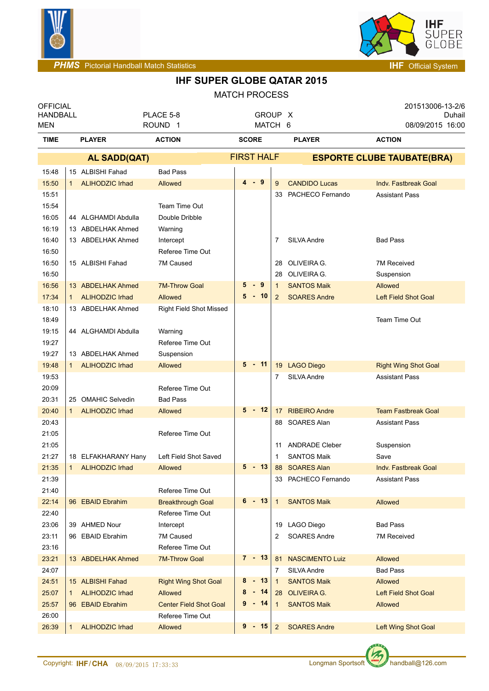



| <b>OFFICIAL</b><br><b>HANDBALL</b><br><b>MEN</b> |                                          | PLACE 5-8<br>ROUND <sub>1</sub>  |                   |                | GROUP X<br>MATCH 6                   | 201513006-13-2/6<br>Duhail<br>08/09/2015 16:00 |  |
|--------------------------------------------------|------------------------------------------|----------------------------------|-------------------|----------------|--------------------------------------|------------------------------------------------|--|
| <b>TIME</b>                                      | <b>PLAYER</b>                            | <b>ACTION</b>                    | <b>SCORE</b>      |                | <b>PLAYER</b>                        | <b>ACTION</b>                                  |  |
|                                                  | <b>AL SADD(QAT)</b>                      |                                  | <b>FIRST HALF</b> |                |                                      | <b>ESPORTE CLUBE TAUBATE(BRA)</b>              |  |
| 15:48                                            | 15 ALBISHI Fahad                         | <b>Bad Pass</b>                  |                   |                |                                      |                                                |  |
| 15:50                                            | <b>ALIHODZIC Irhad</b><br>$\mathbf{1}$   | Allowed                          | $4 - 9$           | 9              | <b>CANDIDO Lucas</b>                 | Indv. Fastbreak Goal                           |  |
| 15:51                                            |                                          |                                  |                   | 33             | PACHECO Fernando                     | <b>Assistant Pass</b>                          |  |
| 15:54                                            |                                          | Team Time Out                    |                   |                |                                      |                                                |  |
| 16:05                                            | 44 ALGHAMDI Abdulla                      | Double Dribble                   |                   |                |                                      |                                                |  |
| 16:19                                            | 13 ABDELHAK Ahmed                        | Warning                          |                   |                |                                      |                                                |  |
| 16:40                                            | 13 ABDELHAK Ahmed                        | Intercept                        |                   | 7              | SILVA Andre                          | <b>Bad Pass</b>                                |  |
| 16:50                                            |                                          | Referee Time Out                 |                   |                |                                      |                                                |  |
| 16:50                                            | 15 ALBISHI Fahad                         | 7M Caused                        |                   | 28             | OLIVEIRA G.                          | 7M Received                                    |  |
| 16:50                                            |                                          |                                  |                   | 28             | OLIVEIRA G.                          | Suspension                                     |  |
| 16:56                                            | 13 ABDELHAK Ahmed                        | <b>7M-Throw Goal</b>             | 5<br>- 9          | $\mathbf{1}$   | <b>SANTOS Maik</b>                   | <b>Allowed</b>                                 |  |
| 17:34                                            | <b>ALIHODZIC Irhad</b>                   | <b>Allowed</b>                   | $5 - 10$          | $\overline{2}$ | <b>SOARES Andre</b>                  | Left Field Shot Goal                           |  |
| 18:10                                            | 13 ABDELHAK Ahmed                        | <b>Right Field Shot Missed</b>   |                   |                |                                      |                                                |  |
| 18:49                                            |                                          |                                  |                   |                |                                      | Team Time Out                                  |  |
| 19:15                                            | 44 ALGHAMDI Abdulla                      | Warning                          |                   |                |                                      |                                                |  |
| 19:27                                            |                                          | Referee Time Out                 |                   |                |                                      |                                                |  |
| 19:27                                            | 13 ABDELHAK Ahmed                        | Suspension                       |                   |                |                                      |                                                |  |
| 19:48                                            | <b>ALIHODZIC Irhad</b>                   | <b>Allowed</b>                   | $5 - 11$          |                | 19 LAGO Diego                        | <b>Right Wing Shot Goal</b>                    |  |
| 19:53                                            |                                          |                                  |                   | 7              | SILVA Andre                          | <b>Assistant Pass</b>                          |  |
| 20:09                                            |                                          | Referee Time Out                 |                   |                |                                      |                                                |  |
| 20:31                                            | 25 OMAHIC Selvedin                       | <b>Bad Pass</b>                  |                   |                |                                      |                                                |  |
| 20:40                                            | <b>ALIHODZIC Irhad</b>                   | Allowed                          | $5 - 12$          | 17             | <b>RIBEIRO Andre</b>                 | <b>Team Fastbreak Goal</b>                     |  |
| 20:43                                            |                                          |                                  |                   |                | 88 SOARES Alan                       | <b>Assistant Pass</b>                          |  |
| 21:05                                            |                                          | Referee Time Out                 |                   |                |                                      |                                                |  |
| 21:05                                            |                                          |                                  |                   | 11             | <b>ANDRADE Cleber</b>                | Suspension                                     |  |
| 21:27                                            | 18 ELFAKHARANY Hany<br>1 ALIHODZIC Irhad | Left Field Shot Saved<br>Allowed | 5<br>$-13$        | 1              | <b>SANTOS Maik</b><br>88 SOARES Alan | Save<br>Indy. Fastbreak Goal                   |  |
| 21:35<br>21:39                                   |                                          |                                  |                   |                | 33 PACHECO Fernando                  | <b>Assistant Pass</b>                          |  |
| 21:40                                            |                                          | Referee Time Out                 |                   |                |                                      |                                                |  |
| 22:14                                            | 96 EBAID Ebrahim                         | <b>Breakthrough Goal</b>         | $6 - 13$          | $\mathbf{1}$   | <b>SANTOS Maik</b>                   | Allowed                                        |  |
| 22:40                                            |                                          | Referee Time Out                 |                   |                |                                      |                                                |  |
| 23:06                                            | 39 AHMED Nour                            | Intercept                        |                   |                | 19 LAGO Diego                        | <b>Bad Pass</b>                                |  |
| 23:11                                            | 96 EBAID Ebrahim                         | 7M Caused                        |                   | 2              | <b>SOARES Andre</b>                  | <b>7M Received</b>                             |  |
| 23:16                                            |                                          | Referee Time Out                 |                   |                |                                      |                                                |  |
| 23:21                                            | 13 ABDELHAK Ahmed                        | <b>7M-Throw Goal</b>             | $7 - 13$          | 81             | <b>NASCIMENTO Luiz</b>               | Allowed                                        |  |
| 24:07                                            |                                          |                                  |                   | 7              | SILVA Andre                          | <b>Bad Pass</b>                                |  |
| 24:51                                            | 15 ALBISHI Fahad                         | <b>Right Wing Shot Goal</b>      | 8<br>$-13$        | $\overline{1}$ | <b>SANTOS Maik</b>                   | Allowed                                        |  |
| 25:07                                            | <b>ALIHODZIC Irhad</b>                   | <b>Allowed</b>                   | 8<br>$-14$        |                | 28 OLIVEIRA G.                       | Left Field Shot Goal                           |  |
| 25:57                                            | 96 EBAID Ebrahim                         | <b>Center Field Shot Goal</b>    | 9 - 14            | $\mathbf{1}$   | <b>SANTOS Maik</b>                   | Allowed                                        |  |
| 26:00                                            |                                          | Referee Time Out                 |                   |                |                                      |                                                |  |
| 26:39                                            | <b>ALIHODZIC Irhad</b>                   | Allowed                          | $9 - 15$          | $\overline{2}$ | <b>SOARES Andre</b>                  | Left Wing Shot Goal                            |  |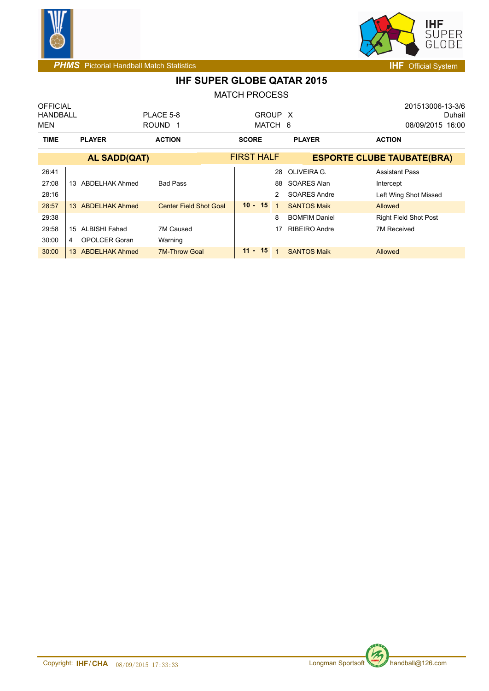



| <b>OFFICIAL</b> |                                          |                               |                   |    |                      | 201513006-13-3/6                  |        |
|-----------------|------------------------------------------|-------------------------------|-------------------|----|----------------------|-----------------------------------|--------|
| HANDBALL        |                                          | PLACE 5-8                     | GROUP X           |    |                      |                                   | Duhail |
| MEN             |                                          | ROUND <sub>1</sub>            | MATCH 6           |    |                      | 08/09/2015 16:00                  |        |
| <b>TIME</b>     | <b>PLAYER</b>                            | <b>ACTION</b>                 | <b>SCORE</b>      |    | <b>PLAYER</b>        | <b>ACTION</b>                     |        |
|                 | <b>AL SADD(QAT)</b>                      |                               | <b>FIRST HALF</b> |    |                      | <b>ESPORTE CLUBE TAUBATE(BRA)</b> |        |
| 26:41           |                                          |                               |                   |    | 28 OLIVEIRA G.       | <b>Assistant Pass</b>             |        |
| 27:08           | ABDELHAK Ahmed<br>13                     | <b>Bad Pass</b>               |                   | 88 | SOARES Alan          | Intercept                         |        |
| 28:16           |                                          |                               |                   | 2  | <b>SOARES Andre</b>  | Left Wing Shot Missed             |        |
| 28:57           | <b>ABDELHAK Ahmed</b><br>13 <sup>1</sup> | <b>Center Field Shot Goal</b> | $10 - 15$         |    | <b>SANTOS Maik</b>   | <b>Allowed</b>                    |        |
| 29:38           |                                          |                               |                   | 8  | <b>BOMFIM Daniel</b> | <b>Right Field Shot Post</b>      |        |
| 29:58           | ALBISHI Fahad<br>15                      | 7M Caused                     |                   |    | <b>RIBEIRO Andre</b> | 7M Received                       |        |
| 30:00           | OPOLCER Goran<br>4                       | Warning                       |                   |    |                      |                                   |        |
| 30:00           | <b>ABDELHAK Ahmed</b><br>13              | <b>7M-Throw Goal</b>          | $11 - 15$         |    | <b>SANTOS Maik</b>   | Allowed                           |        |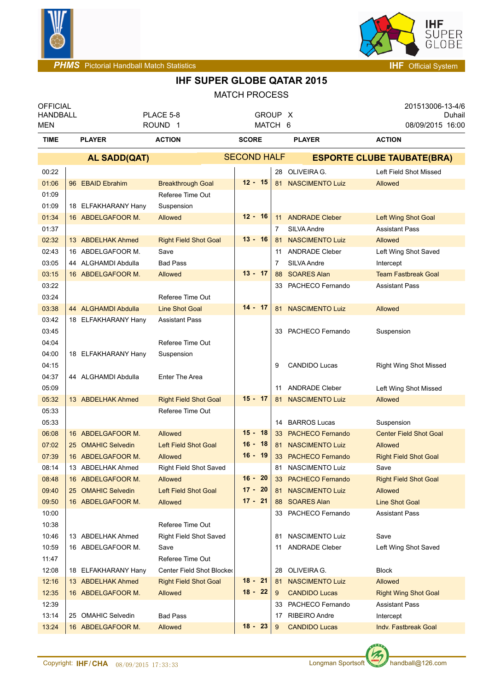



| <b>OFFICIAL</b><br><b>HANDBALL</b> |                                          | PLACE 5-8                           | GROUP X                 |    |                        | 201513006-13-4/6<br>Duhail                   |
|------------------------------------|------------------------------------------|-------------------------------------|-------------------------|----|------------------------|----------------------------------------------|
| MEN<br><b>TIME</b>                 | <b>PLAYER</b>                            | ROUND <sub>1</sub><br><b>ACTION</b> | MATCH 6<br><b>SCORE</b> |    | <b>PLAYER</b>          | 08/09/2015 16:00<br><b>ACTION</b>            |
|                                    | <b>AL SADD(QAT)</b>                      |                                     | <b>SECOND HALF</b>      |    |                        | <b>ESPORTE CLUBE TAUBATE(BRA)</b>            |
|                                    |                                          |                                     |                         |    | 28 OLIVEIRA G.         | Left Field Shot Missed                       |
| 00:22                              |                                          |                                     | $12 - 15$               |    |                        |                                              |
| 01:06                              | 96 EBAID Ebrahim                         | <b>Breakthrough Goal</b>            |                         |    | 81 NASCIMENTO Luiz     | Allowed                                      |
| 01:09                              |                                          | Referee Time Out                    |                         |    |                        |                                              |
| 01:09<br>01:34                     | 18 ELFAKHARANY Hany<br>16 ABDELGAFOOR M. | Suspension                          | $12 - 16$               | 11 | <b>ANDRADE Cleber</b>  |                                              |
| 01:37                              |                                          | Allowed                             |                         | 7  | SILVA Andre            | Left Wing Shot Goal<br><b>Assistant Pass</b> |
| 02:32                              | 13 ABDELHAK Ahmed                        | <b>Right Field Shot Goal</b>        | 13 - 16                 | 81 | <b>NASCIMENTO Luiz</b> | Allowed                                      |
| 02:43                              | 16 ABDELGAFOOR M.                        | Save                                |                         | 11 | <b>ANDRADE Cleber</b>  | Left Wing Shot Saved                         |
| 03:05                              | 44 ALGHAMDI Abdulla                      | <b>Bad Pass</b>                     |                         | 7  | SILVA Andre            | Intercept                                    |
| 03:15                              | 16 ABDELGAFOOR M.                        | <b>Allowed</b>                      | $13 - 17$               | 88 | <b>SOARES Alan</b>     | <b>Team Fastbreak Goal</b>                   |
| 03:22                              |                                          |                                     |                         |    | 33 PACHECO Fernando    | <b>Assistant Pass</b>                        |
| 03:24                              |                                          | Referee Time Out                    |                         |    |                        |                                              |
| 03:38                              | 44 ALGHAMDI Abdulla                      | <b>Line Shot Goal</b>               | $14 - 17$               | 81 | <b>NASCIMENTO Luiz</b> | Allowed                                      |
| 03:42                              | 18 ELFAKHARANY Hany                      | <b>Assistant Pass</b>               |                         |    |                        |                                              |
| 03:45                              |                                          |                                     |                         |    | 33 PACHECO Fernando    | Suspension                                   |
| 04:04                              |                                          | Referee Time Out                    |                         |    |                        |                                              |
| 04:00                              | 18 ELFAKHARANY Hany                      | Suspension                          |                         |    |                        |                                              |
| 04:15                              |                                          |                                     |                         | 9  | <b>CANDIDO Lucas</b>   | <b>Right Wing Shot Missed</b>                |
| 04:37                              | 44 ALGHAMDI Abdulla                      | Enter The Area                      |                         |    |                        |                                              |
| 05:09                              |                                          |                                     |                         | 11 | <b>ANDRADE Cleber</b>  | Left Wing Shot Missed                        |
| 05:32                              | 13 ABDELHAK Ahmed                        | <b>Right Field Shot Goal</b>        | $15 - 17$               | 81 | <b>NASCIMENTO Luiz</b> | <b>Allowed</b>                               |
| 05:33                              |                                          | Referee Time Out                    |                         |    |                        |                                              |
| 05:33                              |                                          |                                     |                         | 14 | <b>BARROS Lucas</b>    | Suspension                                   |
| 06:08                              | 16 ABDELGAFOOR M.                        | Allowed                             | $15 - 18$               |    | 33 PACHECO Fernando    | <b>Center Field Shot Goal</b>                |
| 07:02                              | 25 OMAHIC Selvedin                       | <b>Left Field Shot Goal</b>         | $16 - 18$               |    | 81 NASCIMENTO Luiz     | <b>Allowed</b>                               |
| 07:39                              | 16 ABDELGAFOOR M.                        | Allowed                             | $16 - 19$               |    | 33 PACHECO Fernando    | <b>Right Field Shot Goal</b>                 |
| 08:14                              | 13 ABDELHAK Ahmed                        | <b>Right Field Shot Saved</b>       |                         |    | 81 NASCIMENTO Luiz     | Save                                         |
| 08:48                              | 16 ABDELGAFOOR M.                        | <b>Allowed</b>                      | $16 - 20$               |    | 33 PACHECO Fernando    | <b>Right Field Shot Goal</b>                 |
| 09:40                              | 25 OMAHIC Selvedin                       | <b>Left Field Shot Goal</b>         | $17 - 20$               | 81 | <b>NASCIMENTO Luiz</b> | <b>Allowed</b>                               |
| 09:50                              | 16 ABDELGAFOOR M.                        | Allowed                             | $17 - 21$               |    | 88 SOARES Alan         | <b>Line Shot Goal</b>                        |
| 10:00                              |                                          |                                     |                         |    | 33 PACHECO Fernando    | <b>Assistant Pass</b>                        |
| 10:38                              |                                          | Referee Time Out                    |                         |    |                        |                                              |
| 10:46                              | 13 ABDELHAK Ahmed                        | <b>Right Field Shot Saved</b>       |                         | 81 | NASCIMENTO Luiz        | Save                                         |
| 10:59                              | 16 ABDELGAFOOR M.                        | Save                                |                         | 11 | <b>ANDRADE Cleber</b>  | Left Wing Shot Saved                         |
| 11:47                              |                                          | Referee Time Out                    |                         |    |                        |                                              |
| 12:08                              | 18 ELFAKHARANY Hany                      | Center Field Shot Blocked           |                         | 28 | OLIVEIRA G.            | <b>Block</b>                                 |
| 12:16                              | 13 ABDELHAK Ahmed                        | <b>Right Field Shot Goal</b>        | $18 - 21$               | 81 | <b>NASCIMENTO Luiz</b> | Allowed                                      |
| 12:35                              | 16 ABDELGAFOOR M.                        | Allowed                             | $18 - 22$               | 9  | <b>CANDIDO Lucas</b>   | <b>Right Wing Shot Goal</b>                  |
| 12:39                              |                                          |                                     |                         | 33 | PACHECO Fernando       | <b>Assistant Pass</b>                        |
| 13:14                              | 25 OMAHIC Selvedin                       | <b>Bad Pass</b>                     |                         | 17 | <b>RIBEIRO Andre</b>   | Intercept                                    |
| 13:24                              | 16 ABDELGAFOOR M.                        | Allowed                             | $18 - 23$               | 9  | <b>CANDIDO Lucas</b>   | Indv. Fastbreak Goal                         |

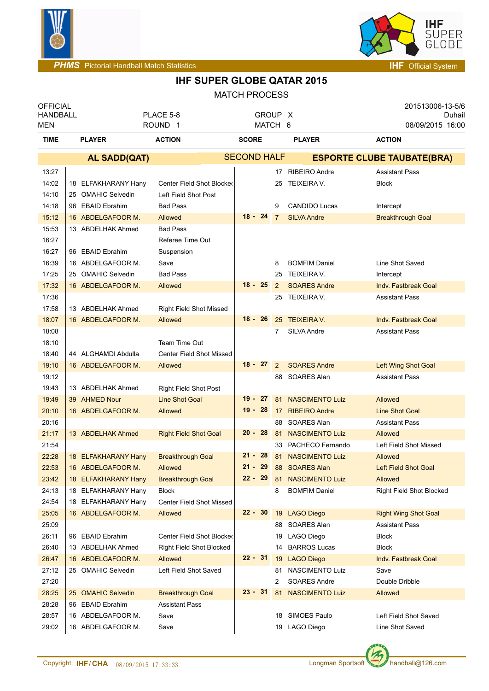



| <b>OFFICIAL</b> |                              |                                 |                    |                |                        | 201513006-13-5/6                  |
|-----------------|------------------------------|---------------------------------|--------------------|----------------|------------------------|-----------------------------------|
| <b>HANDBALL</b> |                              | PLACE 5-8                       | GROUP X            |                |                        | Duhail                            |
| <b>MEN</b>      |                              | ROUND <sub>1</sub>              | MATCH 6            |                |                        | 08/09/2015 16:00                  |
| <b>TIME</b>     | <b>PLAYER</b>                | <b>ACTION</b>                   | <b>SCORE</b>       |                | <b>PLAYER</b>          | <b>ACTION</b>                     |
|                 | <b>AL SADD(QAT)</b>          |                                 | <b>SECOND HALF</b> |                |                        | <b>ESPORTE CLUBE TAUBATE(BRA)</b> |
| 13:27           |                              |                                 |                    |                | 17 RIBEIRO Andre       | <b>Assistant Pass</b>             |
| 14:02           | 18 ELFAKHARANY Hany          | Center Field Shot Blocked       |                    | 25             | TEIXEIRA V.            | <b>Block</b>                      |
| 14:10           | 25 OMAHIC Selvedin           | Left Field Shot Post            |                    |                |                        |                                   |
| 14:18           | 96 EBAID Ebrahim             | <b>Bad Pass</b>                 |                    | 9              | <b>CANDIDO Lucas</b>   | Intercept                         |
| 15:12           | 16 ABDELGAFOOR M.            | Allowed                         | $18 - 24$          | $\overline{7}$ | <b>SILVA Andre</b>     | <b>Breakthrough Goal</b>          |
| 15:53           | 13 ABDELHAK Ahmed            | <b>Bad Pass</b>                 |                    |                |                        |                                   |
| 16:27           |                              | Referee Time Out                |                    |                |                        |                                   |
| 16:27           | 96 EBAID Ebrahim             | Suspension                      |                    |                |                        |                                   |
| 16:39           | 16 ABDELGAFOOR M.            | Save                            |                    | 8              | <b>BOMFIM Daniel</b>   | Line Shot Saved                   |
| 17:25           | 25 OMAHIC Selvedin           | <b>Bad Pass</b>                 |                    | 25             | TEIXEIRA V.            | Intercept                         |
| 17:32           | 16 ABDELGAFOOR M.            | Allowed                         | $18 - 25$          | 2              | <b>SOARES Andre</b>    | Indy. Fastbreak Goal              |
| 17:36           |                              |                                 |                    | 25             | TEIXEIRA V.            | <b>Assistant Pass</b>             |
| 17:58           | 13 ABDELHAK Ahmed            | <b>Right Field Shot Missed</b>  |                    |                |                        |                                   |
| 18:07           | 16 ABDELGAFOOR M.            | Allowed                         | $18 - 26$          |                | 25 TEIXEIRA V.         | Indv. Fastbreak Goal              |
| 18:08           |                              |                                 |                    | 7              | SILVA Andre            | <b>Assistant Pass</b>             |
| 18:10           |                              | Team Time Out                   |                    |                |                        |                                   |
| 18:40           | 44 ALGHAMDI Abdulla          | <b>Center Field Shot Missed</b> |                    |                |                        |                                   |
| 19:10           | 16 ABDELGAFOOR M.            | Allowed                         | $18 - 27$          | $\overline{2}$ | <b>SOARES Andre</b>    | Left Wing Shot Goal               |
| 19:12           |                              |                                 |                    | 88             | SOARES Alan            | <b>Assistant Pass</b>             |
| 19:43           | 13 ABDELHAK Ahmed            | <b>Right Field Shot Post</b>    |                    |                |                        |                                   |
| 19:49           | 39 AHMED Nour                | <b>Line Shot Goal</b>           | $19 - 27$          |                | 81 NASCIMENTO Luiz     | <b>Allowed</b>                    |
| 20:10           | 16 ABDELGAFOOR M.            | <b>Allowed</b>                  | $19 - 28$          |                | 17 RIBEIRO Andre       | <b>Line Shot Goal</b>             |
| 20:16           |                              |                                 |                    | 88             | SOARES Alan            | <b>Assistant Pass</b>             |
| 21:17           | 13 ABDELHAK Ahmed            | <b>Right Field Shot Goal</b>    | $20 - 28$          |                | 81 NASCIMENTO Luiz     | <b>Allowed</b>                    |
| 21:54           |                              |                                 |                    | 33             | PACHECO Fernando       | Left Field Shot Missed            |
| 22:28           | 18 ELFAKHARANY Hany          | <b>Breakthrough Goal</b>        | $21 - 28$          | 81             | <b>NASCIMENTO Luiz</b> | <b>Allowed</b>                    |
| 22:53           | 16 ABDELGAFOOR M.            | Allowed                         | $21 - 29$          |                | 88 SOARES Alan         | Left Field Shot Goal              |
| 23:42           | 18 ELFAKHARANY Hany          | <b>Breakthrough Goal</b>        | $22 - 29$          | 81             | <b>NASCIMENTO Luiz</b> | Allowed                           |
| 24:13           | 18 ELFAKHARANY Hany          | <b>Block</b>                    |                    | 8              | <b>BOMFIM Daniel</b>   | Right Field Shot Blocked          |
| 24:54           | 18 ELFAKHARANY Hany          | <b>Center Field Shot Missed</b> |                    |                |                        |                                   |
| 25:05           | 16 ABDELGAFOOR M.            | Allowed                         | $22 - 30$          |                | 19 LAGO Diego          | <b>Right Wing Shot Goal</b>       |
| 25:09           |                              |                                 |                    |                | 88 SOARES Alan         | <b>Assistant Pass</b>             |
| 26:11           | 96 EBAID Ebrahim             | Center Field Shot Blocker       |                    | 19             | LAGO Diego             | <b>Block</b>                      |
| 26:40           | 13 ABDELHAK Ahmed            | Right Field Shot Blocked        |                    | 14             | <b>BARROS Lucas</b>    | <b>Block</b>                      |
| 26:47           | 16 ABDELGAFOOR M.            | Allowed                         | $22 - 31$          | 19             | <b>LAGO Diego</b>      | Indv. Fastbreak Goal              |
| 27:12           | 25 OMAHIC Selvedin           | Left Field Shot Saved           |                    | 81             | NASCIMENTO Luiz        | Save                              |
| 27:20           |                              |                                 |                    | 2              | SOARES Andre           | Double Dribble                    |
| 28:25           | <b>OMAHIC Selvedin</b><br>25 | <b>Breakthrough Goal</b>        | $23 - 31$          | 81             | <b>NASCIMENTO Luiz</b> | Allowed                           |
| 28:28           | 96 EBAID Ebrahim             | <b>Assistant Pass</b>           |                    |                |                        |                                   |
| 28:57           | 16 ABDELGAFOOR M.            | Save                            |                    | 18             | SIMOES Paulo           | Left Field Shot Saved             |
| 29:02           | 16 ABDELGAFOOR M.            | Save                            |                    |                | 19 LAGO Diego          | Line Shot Saved                   |